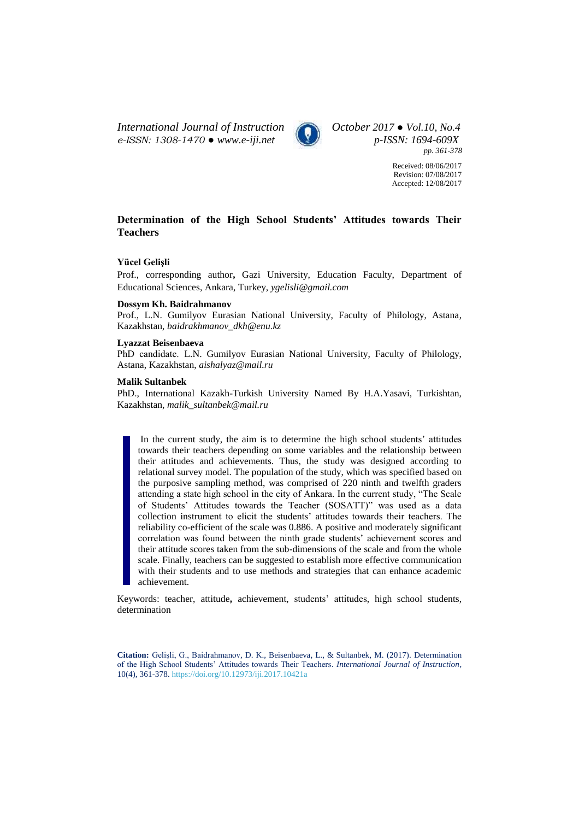*International Journal of Instruction October 2017 ● Vol.10, No.4 e-ISSN: 1308-1470 ● [www.e-iji.net](http://www.e-iji.net/) p-ISSN: 1694-609X*



*pp. 361-378*

Received: 08/06/2017 Revision: 07/08/2017 Accepted: 12/08/2017

# **Determination of the High School Students' Attitudes towards Their Teachers**

## **Yücel Gelişli**

Prof., corresponding author**,** Gazi University, Education Faculty, Department of Educational Sciences, Ankara, Turkey, *ygelisli@gmail.com*

## **Dossym Kh. Baidrahmanov**

Prof., L.N. Gumilyov Eurasian National University, Faculty of Philology, Astana, Kazakhstan, *baidrakhmanov\_dkh@enu.kz*

#### **Lyazzat Beisenbaeva**

PhD candidate. L.N. Gumilyov Eurasian National University, Faculty of Philology, Astana, Kazakhstan, *aishalyaz@mail.ru*

#### **Malik Sultanbek**

PhD., International Kazakh-Turkish University Named By H.A.Yasavi, Turkishtan, Kazakhstan, *malik\_sultanbek@mail.ru*

In the current study, the aim is to determine the high school students' attitudes towards their teachers depending on some variables and the relationship between their attitudes and achievements. Thus, the study was designed according to relational survey model. The population of the study, which was specified based on the purposive sampling method, was comprised of 220 ninth and twelfth graders attending a state high school in the city of Ankara. In the current study, "The Scale of Students' Attitudes towards the Teacher (SOSATT)" was used as a data collection instrument to elicit the students' attitudes towards their teachers. The reliability co-efficient of the scale was 0.886. A positive and moderately significant correlation was found between the ninth grade students' achievement scores and their attitude scores taken from the sub-dimensions of the scale and from the whole scale. Finally, teachers can be suggested to establish more effective communication with their students and to use methods and strategies that can enhance academic achievement.

Keywords: teacher, attitude**,** achievement, students' attitudes, high school students, determination

**Citation:** Gelişli, G., Baidrahmanov, D. K., Beisenbaeva, L., & Sultanbek, M. (2017). Determination of the High School Students' Attitudes towards Their Teachers. *International Journal of Instruction*, 10(4), 361-378. <https://doi.org/10.12973/iji.2017.10421a>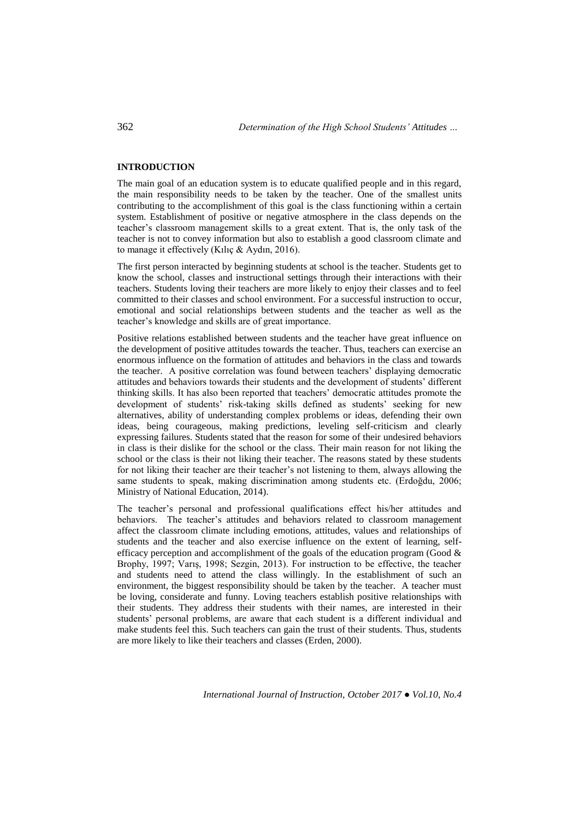### **INTRODUCTION**

The main goal of an education system is to educate qualified people and in this regard, the main responsibility needs to be taken by the teacher. One of the smallest units contributing to the accomplishment of this goal is the class functioning within a certain system. Establishment of positive or negative atmosphere in the class depends on the teacher's classroom management skills to a great extent. That is, the only task of the teacher is not to convey information but also to establish a good classroom climate and to manage it effectively (Kılıç & Aydın, 2016).

The first person interacted by beginning students at school is the teacher. Students get to know the school, classes and instructional settings through their interactions with their teachers. Students loving their teachers are more likely to enjoy their classes and to feel committed to their classes and school environment. For a successful instruction to occur, emotional and social relationships between students and the teacher as well as the teacher's knowledge and skills are of great importance.

Positive relations established between students and the teacher have great influence on the development of positive attitudes towards the teacher. Thus, teachers can exercise an enormous influence on the formation of attitudes and behaviors in the class and towards the teacher. A positive correlation was found between teachers' displaying democratic attitudes and behaviors towards their students and the development of students' different thinking skills. It has also been reported that teachers' democratic attitudes promote the development of students' risk-taking skills defined as students' seeking for new alternatives, ability of understanding complex problems or ideas, defending their own ideas, being courageous, making predictions, leveling self-criticism and clearly expressing failures. Students stated that the reason for some of their undesired behaviors in class is their dislike for the school or the class. Their main reason for not liking the school or the class is their not liking their teacher. The reasons stated by these students for not liking their teacher are their teacher's not listening to them, always allowing the same students to speak, making discrimination among students etc. (Erdoğdu, 2006; Ministry of National Education, 2014).

The teacher's personal and professional qualifications effect his/her attitudes and behaviors. The teacher's attitudes and behaviors related to classroom management affect the classroom climate including emotions, attitudes, values and relationships of students and the teacher and also exercise influence on the extent of learning, selfefficacy perception and accomplishment of the goals of the education program (Good  $\&$ Brophy, 1997; Varış, 1998; Sezgin, 2013). For instruction to be effective, the teacher and students need to attend the class willingly. In the establishment of such an environment, the biggest responsibility should be taken by the teacher. A teacher must be loving, considerate and funny. Loving teachers establish positive relationships with their students. They address their students with their names, are interested in their students' personal problems, are aware that each student is a different individual and make students feel this. Such teachers can gain the trust of their students. Thus, students are more likely to like their teachers and classes (Erden, 2000).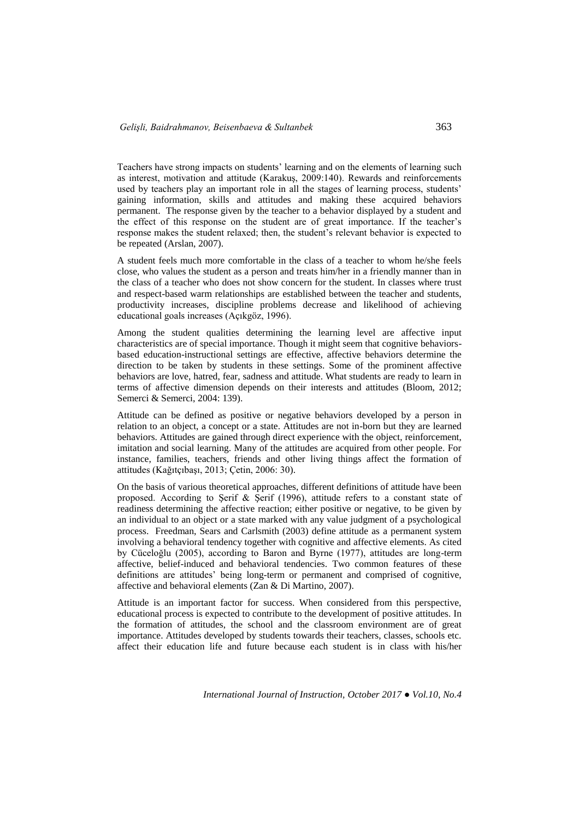Teachers have strong impacts on students' learning and on the elements of learning such as interest, motivation and attitude (Karakuş, 2009:140). Rewards and reinforcements used by teachers play an important role in all the stages of learning process, students' gaining information, skills and attitudes and making these acquired behaviors permanent. The response given by the teacher to a behavior displayed by a student and the effect of this response on the student are of great importance. If the teacher's response makes the student relaxed; then, the student's relevant behavior is expected to be repeated (Arslan, 2007).

A student feels much more comfortable in the class of a teacher to whom he/she feels close, who values the student as a person and treats him/her in a friendly manner than in the class of a teacher who does not show concern for the student. In classes where trust and respect-based warm relationships are established between the teacher and students, productivity increases, discipline problems decrease and likelihood of achieving educational goals increases (Açıkgöz, 1996).

Among the student qualities determining the learning level are affective input characteristics are of special importance. Though it might seem that cognitive behaviorsbased education-instructional settings are effective, affective behaviors determine the direction to be taken by students in these settings. Some of the prominent affective behaviors are love, hatred, fear, sadness and attitude. What students are ready to learn in terms of affective dimension depends on their interests and attitudes (Bloom, 2012; Semerci & Semerci, 2004: 139).

Attitude can be defined as positive or negative behaviors developed by a person in relation to an object, a concept or a state. Attitudes are not in-born but they are learned behaviors. Attitudes are gained through direct experience with the object, reinforcement, imitation and social learning. Many of the attitudes are acquired from other people. For instance, families, teachers, friends and other living things affect the formation of attitudes (Kağıtçıbaşı, 2013; Çetin, 2006: 30).

On the basis of various theoretical approaches, different definitions of attitude have been proposed. According to Şerif & Şerif (1996), attitude refers to a constant state of readiness determining the affective reaction; either positive or negative, to be given by an individual to an object or a state marked with any value judgment of a psychological process. Freedman, Sears and Carlsmith (2003) define attitude as a permanent system involving a behavioral tendency together with cognitive and affective elements. As cited by Cüceloğlu (2005), according to Baron and Byrne (1977), attitudes are long-term affective, belief-induced and behavioral tendencies. Two common features of these definitions are attitudes' being long-term or permanent and comprised of cognitive, affective and behavioral elements (Zan & Di Martino, 2007).

Attitude is an important factor for success. When considered from this perspective, educational process is expected to contribute to the development of positive attitudes. In the formation of attitudes, the school and the classroom environment are of great importance. Attitudes developed by students towards their teachers, classes, schools etc. affect their education life and future because each student is in class with his/her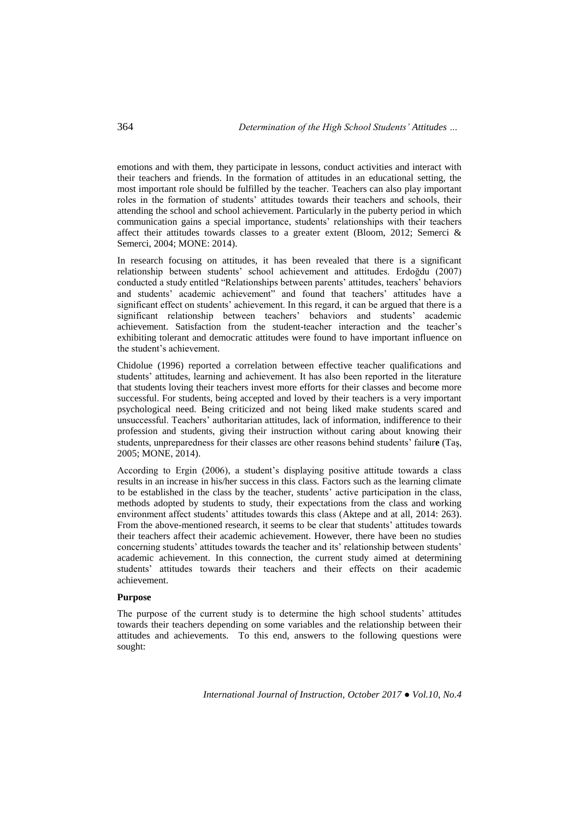emotions and with them, they participate in lessons, conduct activities and interact with their teachers and friends. In the formation of attitudes in an educational setting, the most important role should be fulfilled by the teacher. Teachers can also play important roles in the formation of students' attitudes towards their teachers and schools, their attending the school and school achievement. Particularly in the puberty period in which communication gains a special importance, students' relationships with their teachers affect their attitudes towards classes to a greater extent (Bloom, 2012; Semerci  $\&$ Semerci, 2004; MONE: 2014).

In research focusing on attitudes, it has been revealed that there is a significant relationship between students' school achievement and attitudes. Erdoğdu (2007) conducted a study entitled "Relationships between parents' attitudes, teachers' behaviors and students' academic achievement" and found that teachers' attitudes have a significant effect on students' achievement. In this regard, it can be argued that there is a significant relationship between teachers' behaviors and students' academic achievement. Satisfaction from the student-teacher interaction and the teacher's exhibiting tolerant and democratic attitudes were found to have important influence on the student's achievement.

Chidolue (1996) reported a correlation between effective teacher qualifications and students' attitudes, learning and achievement. It has also been reported in the literature that students loving their teachers invest more efforts for their classes and become more successful. For students, being accepted and loved by their teachers is a very important psychological need. Being criticized and not being liked make students scared and unsuccessful. Teachers' authoritarian attitudes, lack of information, indifference to their profession and students, giving their instruction without caring about knowing their students, unpreparedness for their classes are other reasons behind students' failur**e** (Taş, 2005; MONE, 2014).

According to Ergin (2006), a student's displaying positive attitude towards a class results in an increase in his/her success in this class. Factors such as the learning climate to be established in the class by the teacher, students' active participation in the class, methods adopted by students to study, their expectations from the class and working environment affect students' attitudes towards this class (Aktepe and at all, 2014: 263). From the above-mentioned research, it seems to be clear that students' attitudes towards their teachers affect their academic achievement. However, there have been no studies concerning students' attitudes towards the teacher and its' relationship between students' academic achievement. In this connection, the current study aimed at determining students' attitudes towards their teachers and their effects on their academic achievement.

### **Purpose**

The purpose of the current study is to determine the high school students' attitudes towards their teachers depending on some variables and the relationship between their attitudes and achievements. To this end, answers to the following questions were sought: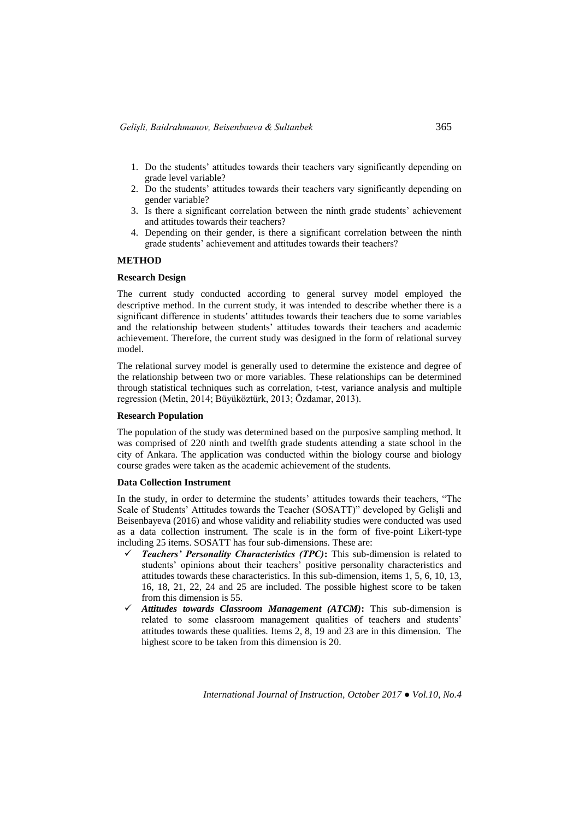- 1. Do the students' attitudes towards their teachers vary significantly depending on grade level variable?
- 2. Do the students' attitudes towards their teachers vary significantly depending on gender variable?
- 3. Is there a significant correlation between the ninth grade students' achievement and attitudes towards their teachers?
- 4. Depending on their gender, is there a significant correlation between the ninth grade students' achievement and attitudes towards their teachers?

## **METHOD**

### **Research Design**

The current study conducted according to general survey model employed the descriptive method. In the current study, it was intended to describe whether there is a significant difference in students' attitudes towards their teachers due to some variables and the relationship between students' attitudes towards their teachers and academic achievement. Therefore, the current study was designed in the form of relational survey model.

The relational survey model is generally used to determine the existence and degree of the relationship between two or more variables. These relationships can be determined through statistical techniques such as correlation, t-test, variance analysis and multiple regression (Metin, 2014; Büyüköztürk, 2013; Özdamar, 2013).

#### **Research Population**

The population of the study was determined based on the purposive sampling method. It was comprised of 220 ninth and twelfth grade students attending a state school in the city of Ankara. The application was conducted within the biology course and biology course grades were taken as the academic achievement of the students.

## **Data Collection Instrument**

In the study, in order to determine the students' attitudes towards their teachers, "The Scale of Students' Attitudes towards the Teacher (SOSATT)" developed by Gelişli and Beisenbayeva (2016) and whose validity and reliability studies were conducted was used as a data collection instrument. The scale is in the form of five-point Likert-type including 25 items. SOSATT has four sub-dimensions. These are:

- *Teachers' Personality Characteristics (TPC)***:** This sub-dimension is related to students' opinions about their teachers' positive personality characteristics and attitudes towards these characteristics. In this sub-dimension, items 1, 5, 6, 10, 13, 16, 18, 21, 22, 24 and 25 are included. The possible highest score to be taken from this dimension is 55.
- *Attitudes towards Classroom Management (ATCM)***:** This sub-dimension is related to some classroom management qualities of teachers and students' attitudes towards these qualities. Items 2, 8, 19 and 23 are in this dimension. The highest score to be taken from this dimension is 20.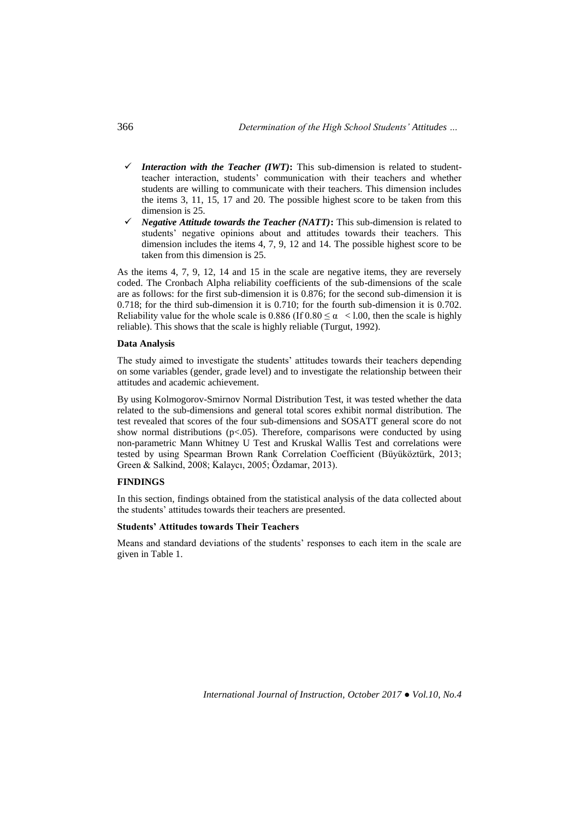- *Interaction with the Teacher (IWT)*: This sub-dimension is related to studentteacher interaction, students' communication with their teachers and whether students are willing to communicate with their teachers. This dimension includes the items 3, 11, 15, 17 and 20. The possible highest score to be taken from this dimension is 25.
- *Negative Attitude towards the Teacher (NATT)***:** This sub-dimension is related to students' negative opinions about and attitudes towards their teachers. This dimension includes the items 4, 7, 9, 12 and 14. The possible highest score to be taken from this dimension is 25.

As the items 4, 7, 9, 12, 14 and 15 in the scale are negative items, they are reversely coded. The Cronbach Alpha reliability coefficients of the sub-dimensions of the scale are as follows: for the first sub-dimension it is 0.876; for the second sub-dimension it is 0.718; for the third sub-dimension it is 0.710; for the fourth sub-dimension it is 0.702. Reliability value for the whole scale is 0.886 (If  $0.80 \le \alpha < 1.00$ , then the scale is highly reliable). This shows that the scale is highly reliable (Turgut, 1992).

### **Data Analysis**

The study aimed to investigate the students' attitudes towards their teachers depending on some variables (gender, grade level) and to investigate the relationship between their attitudes and academic achievement.

By using Kolmogorov-Smirnov Normal Distribution Test, it was tested whether the data related to the sub-dimensions and general total scores exhibit normal distribution. The test revealed that scores of the four sub-dimensions and SOSATT general score do not show normal distributions  $(p<0.05)$ . Therefore, comparisons were conducted by using non-parametric Mann Whitney U Test and Kruskal Wallis Test and correlations were tested by using Spearman Brown Rank Correlation Coefficient (Büyüköztürk, 2013; Green & Salkind, 2008; Kalaycı, 2005; Özdamar, 2013).

### **FINDINGS**

In this section, findings obtained from the statistical analysis of the data collected about the students' attitudes towards their teachers are presented.

### **Students' Attitudes towards Their Teachers**

Means and standard deviations of the students' responses to each item in the scale are given in Table 1.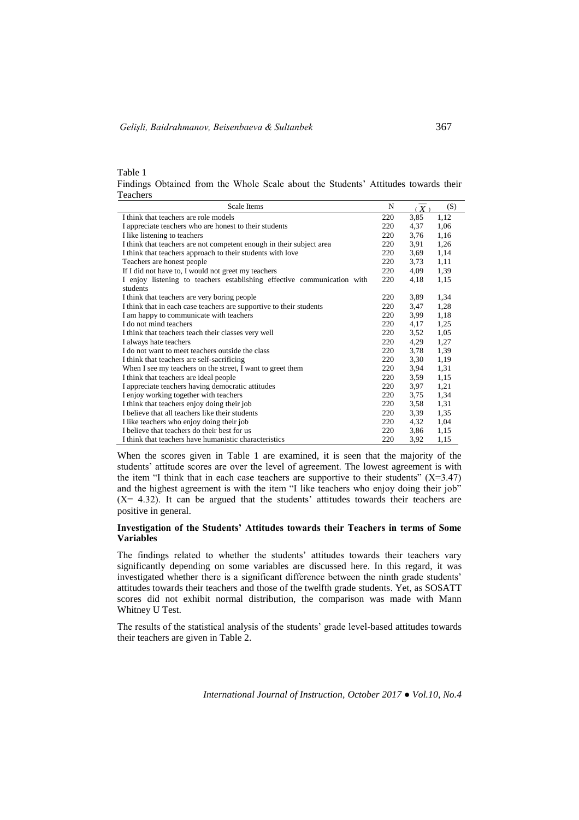Table 1

Findings Obtained from the Whole Scale about the Students' Attitudes towards their Teachers

| Scale Items                                                             | N   | (X)  | (S)  |
|-------------------------------------------------------------------------|-----|------|------|
| I think that teachers are role models                                   | 220 | 3,85 | 1,12 |
| I appreciate teachers who are honest to their students                  | 220 | 4,37 | 1,06 |
| I like listening to teachers                                            | 220 | 3,76 | 1,16 |
| I think that teachers are not competent enough in their subject area    | 220 | 3.91 | 1,26 |
| I think that teachers approach to their students with love              | 220 | 3,69 | 1,14 |
| Teachers are honest people                                              | 220 | 3,73 | 1,11 |
| If I did not have to, I would not greet my teachers                     | 220 | 4,09 | 1,39 |
| I enjoy listening to teachers establishing effective communication with | 220 | 4,18 | 1,15 |
| students                                                                |     |      |      |
| I think that teachers are very boring people                            | 220 | 3,89 | 1,34 |
| I think that in each case teachers are supportive to their students     | 220 | 3,47 | 1,28 |
| I am happy to communicate with teachers                                 | 220 | 3,99 | 1,18 |
| I do not mind teachers                                                  | 220 | 4,17 | 1,25 |
| I think that teachers teach their classes very well                     | 220 | 3,52 | 1,05 |
| I always hate teachers                                                  | 220 | 4,29 | 1,27 |
| I do not want to meet teachers outside the class                        | 220 | 3,78 | 1,39 |
| I think that teachers are self-sacrificing                              | 220 | 3,30 | 1,19 |
| When I see my teachers on the street, I want to greet them              | 220 | 3,94 | 1,31 |
| I think that teachers are ideal people                                  | 220 | 3,59 | 1,15 |
| I appreciate teachers having democratic attitudes                       | 220 | 3,97 | 1,21 |
| I enjoy working together with teachers                                  | 220 | 3,75 | 1,34 |
| I think that teachers enjoy doing their job                             | 220 | 3,58 | 1,31 |
| I believe that all teachers like their students                         | 220 | 3,39 | 1,35 |
| I like teachers who enjoy doing their job                               | 220 | 4,32 | 1,04 |
| I believe that teachers do their best for us                            | 220 | 3,86 | 1,15 |
| I think that teachers have humanistic characteristics                   | 220 | 3,92 | 1,15 |

When the scores given in Table 1 are examined, it is seen that the majority of the students' attitude scores are over the level of agreement. The lowest agreement is with the item "I think that in each case teachers are supportive to their students"  $(X=3.47)$ and the highest agreement is with the item "I like teachers who enjoy doing their job"  $(X = 4.32)$ . It can be argued that the students' attitudes towards their teachers are positive in general.

### **Investigation of the Students' Attitudes towards their Teachers in terms of Some Variables**

The findings related to whether the students' attitudes towards their teachers vary significantly depending on some variables are discussed here. In this regard, it was investigated whether there is a significant difference between the ninth grade students' attitudes towards their teachers and those of the twelfth grade students. Yet, as SOSATT scores did not exhibit normal distribution, the comparison was made with Mann Whitney U Test.

The results of the statistical analysis of the students' grade level-based attitudes towards their teachers are given in Table 2.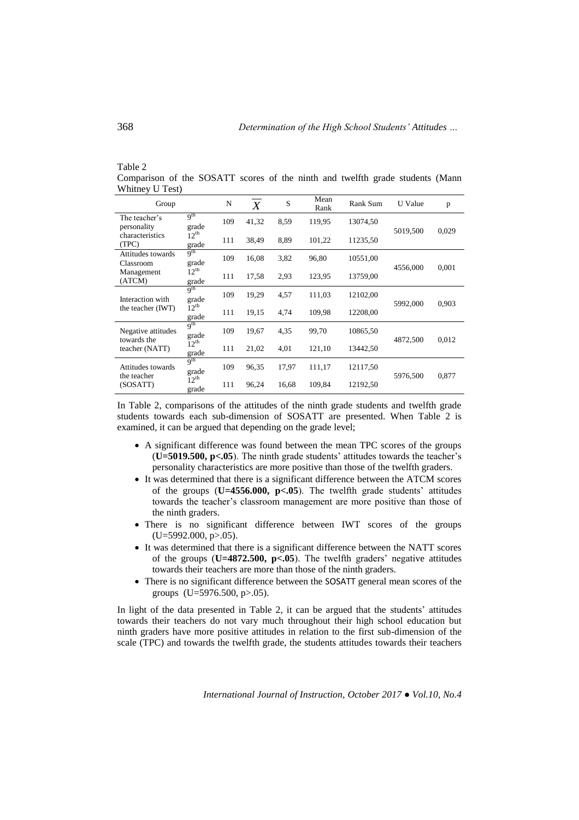| $1$ ave $\angle$                                                              |  |  |  |  |  |
|-------------------------------------------------------------------------------|--|--|--|--|--|
| Comparison of the SOSATT scores of the ninth and twelfth grade students (Mann |  |  |  |  |  |
| Whitney U Test)                                                               |  |  |  |  |  |

| Group                                        |                           | N   | X     | S     | Mean<br>Rank | Rank Sum | U Value  | p     |
|----------------------------------------------|---------------------------|-----|-------|-------|--------------|----------|----------|-------|
| The teacher's<br>personality                 | q <sup>th</sup><br>grade  | 109 | 41,32 | 8,59  | 119,95       | 13074,50 | 5019,500 | 0,029 |
| characteristics<br>(TPC)                     | $12^{th}$<br>grade        | 111 | 38,49 | 8,89  | 101,22       | 11235,50 |          |       |
| Attitudes towards<br>Classroom               | q <sup>th</sup><br>grade  | 109 | 16,08 | 3,82  | 96,80        | 10551,00 | 4556,000 |       |
| Management<br>(ATCM)                         | $12^{th}$<br>grade        | 111 | 17,58 | 2,93  | 123,95       | 13759,00 |          | 0,001 |
| Interaction with                             | 9 <sup>th</sup><br>grade  | 109 | 19,29 | 4,57  | 111,03       | 12102,00 | 5992,000 | 0,903 |
| the teacher (IWT)                            | $12^{th}$<br>grade        | 111 | 19,15 | 4,74  | 109,98       | 12208,00 |          |       |
| Negative attitudes<br>towards the            | q <sup>th</sup><br>grade  | 109 | 19,67 | 4,35  | 99,70        | 10865,50 | 4872,500 | 0,012 |
| teacher (NATT)                               | $12^{\text{th}}$<br>grade | 111 | 21,02 | 4,01  | 121,10       | 13442,50 |          |       |
| Attitudes towards<br>the teacher<br>(SOSATT) | q <sup>th</sup><br>grade  | 109 | 96,35 | 17,97 | 111,17       | 12117,50 | 5976,500 | 0,877 |
|                                              | $12^{\text{th}}$<br>grade | 111 | 96,24 | 16,68 | 109,84       | 12192,50 |          |       |

In Table 2, comparisons of the attitudes of the ninth grade students and twelfth grade students towards each sub-dimension of SOSATT are presented. When Table 2 is examined, it can be argued that depending on the grade level;

- A significant difference was found between the mean TPC scores of the groups (**U=5019.500, p<.05**). The ninth grade students' attitudes towards the teacher's personality characteristics are more positive than those of the twelfth graders.
- It was determined that there is a significant difference between the ATCM scores of the groups (**U=4556.000, p<.05**). The twelfth grade students' attitudes towards the teacher's classroom management are more positive than those of the ninth graders.
- There is no significant difference between IWT scores of the groups (U=5992.000, p>.05).
- It was determined that there is a significant difference between the NATT scores of the groups (**U=4872.500, p<.05**). The twelfth graders' negative attitudes towards their teachers are more than those of the ninth graders.
- There is no significant difference between the SOSATT general mean scores of the groups  $(U=5976.500, p>0.05)$ .

In light of the data presented in Table 2, it can be argued that the students' attitudes towards their teachers do not vary much throughout their high school education but ninth graders have more positive attitudes in relation to the first sub-dimension of the scale (TPC) and towards the twelfth grade, the students attitudes towards their teachers

*International Journal of Instruction, October 2017 ● Vol.10, No.4*

 $Table 2$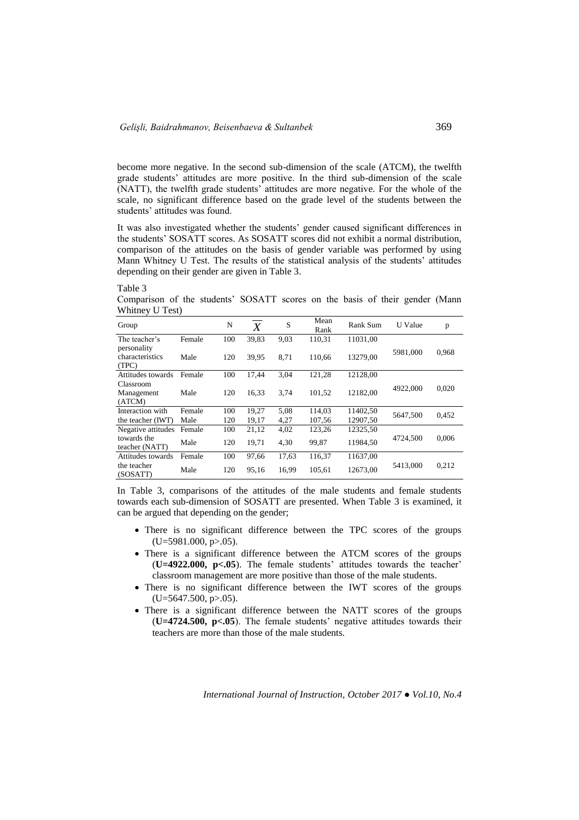become more negative. In the second sub-dimension of the scale (ATCM), the twelfth grade students' attitudes are more positive. In the third sub-dimension of the scale (NATT), the twelfth grade students' attitudes are more negative. For the whole of the scale, no significant difference based on the grade level of the students between the students' attitudes was found.

It was also investigated whether the students' gender caused significant differences in the students' SOSATT scores. As SOSATT scores did not exhibit a normal distribution, comparison of the attitudes on the basis of gender variable was performed by using Mann Whitney U Test. The results of the statistical analysis of the students' attitudes depending on their gender are given in Table 3.

#### Table 3

Comparison of the students' SOSATT scores on the basis of their gender (Mann Whitney U Test)

| Group                                               |                | N          | $\boldsymbol{X}$ | S            | Mean<br>Rank    | Rank Sum             | U Value  | p     |
|-----------------------------------------------------|----------------|------------|------------------|--------------|-----------------|----------------------|----------|-------|
| The teacher's                                       | Female         | 100        | 39,83            | 9,03         | 110,31          | 11031.00             |          |       |
| personality<br>characteristics<br>(TPC)             | Male           | 120        | 39,95            | 8.71         | 110,66          | 13279,00             | 5981,000 | 0,968 |
| Attitudes towards                                   | Female         | 100        | 17,44            | 3,04         | 121,28          | 12128.00             |          |       |
| Classroom<br>Management<br>(ATCM)                   | Male           | 120        | 16.33            | 3,74         | 101,52          | 12182,00             | 4922,000 | 0,020 |
| Interaction with                                    | Female         | 100        | 19,27            | 5.08         | 114.03          | 11402,50             | 5647,500 | 0,452 |
| the teacher (IWT)                                   | Male           | 120        | 19,17            | 4,27         | 107,56          | 12907,50             |          |       |
| Negative attitudes<br>towards the<br>teacher (NATT) | Female<br>Male | 100<br>120 | 21,12<br>19,71   | 4,02<br>4,30 | 123,26<br>99,87 | 12325,50<br>11984,50 | 4724,500 | 0,006 |
| Attitudes towards                                   | Female         | 100        | 97,66            | 17,63        | 116,37          | 11637,00             |          |       |
| the teacher<br>(SOSATT)                             | Male           | 120        | 95,16            | 16,99        | 105,61          | 12673.00             | 5413,000 | 0,212 |

In Table 3, comparisons of the attitudes of the male students and female students towards each sub-dimension of SOSATT are presented. When Table 3 is examined, it can be argued that depending on the gender;

- There is no significant difference between the TPC scores of the groups  $(U=5981.000, p>0.05)$ .
- There is a significant difference between the ATCM scores of the groups (**U=4922.000, p<.05**). The female students' attitudes towards the teacher' classroom management are more positive than those of the male students.
- There is no significant difference between the IWT scores of the groups  $(U=5647.500, p>0.05)$ .
- There is a significant difference between the NATT scores of the groups (**U=4724.500, p<.05**). The female students' negative attitudes towards their teachers are more than those of the male students.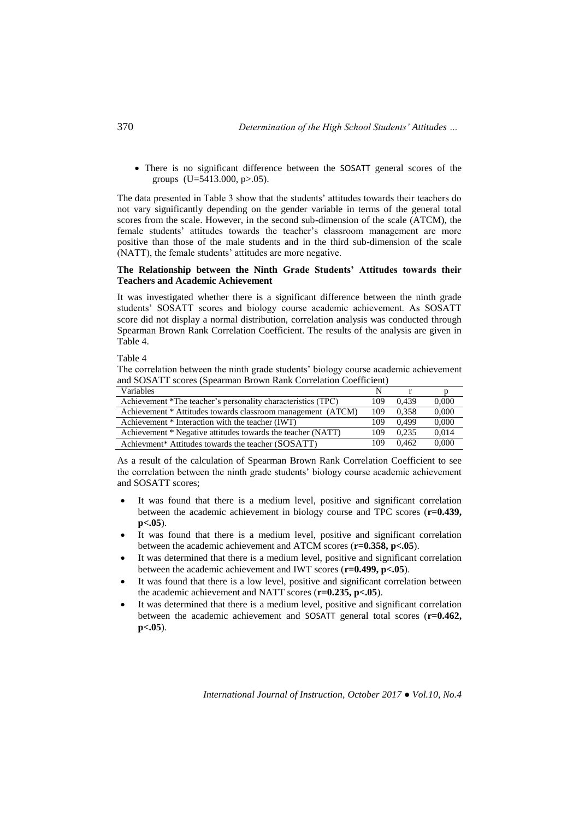There is no significant difference between the SOSATT general scores of the groups (U=5413.000, p>.05).

The data presented in Table 3 show that the students' attitudes towards their teachers do not vary significantly depending on the gender variable in terms of the general total scores from the scale. However, in the second sub-dimension of the scale (ATCM), the female students' attitudes towards the teacher's classroom management are more positive than those of the male students and in the third sub-dimension of the scale (NATT), the female students' attitudes are more negative.

### **The Relationship between the Ninth Grade Students' Attitudes towards their Teachers and Academic Achievement**

It was investigated whether there is a significant difference between the ninth grade students' SOSATT scores and biology course academic achievement. As SOSATT score did not display a normal distribution, correlation analysis was conducted through Spearman Brown Rank Correlation Coefficient. The results of the analysis are given in Table 4.

Table 4

The correlation between the ninth grade students' biology course academic achievement and SOSATT scores (Spearman Brown Rank Correlation Coefficient)

| <b>Variables</b>                                             |     |       |       |
|--------------------------------------------------------------|-----|-------|-------|
| Achievement *The teacher's personality characteristics (TPC) | 109 | 0.439 | 0,000 |
| Achievement * Attitudes towards classroom management (ATCM)  | 109 | 0.358 | 0,000 |
| Achievement * Interaction with the teacher (IWT)             | 109 | 0.499 | 0.000 |
| Achievement * Negative attitudes towards the teacher (NATT)  | 109 | 0.235 | 0.014 |
| Achievment* Attitudes towards the teacher (SOSATT)           | 109 | 0.462 | 0.000 |

As a result of the calculation of Spearman Brown Rank Correlation Coefficient to see the correlation between the ninth grade students' biology course academic achievement and SOSATT scores;

- It was found that there is a medium level, positive and significant correlation between the academic achievement in biology course and TPC scores (**r=0.439, p<.05**).
- It was found that there is a medium level, positive and significant correlation between the academic achievement and ATCM scores (**r=0.358, p<.05**).
- It was determined that there is a medium level, positive and significant correlation between the academic achievement and IWT scores (**r=0.499, p<.05**).
- It was found that there is a low level, positive and significant correlation between the academic achievement and NATT scores (**r=0.235, p<.05**).
- It was determined that there is a medium level, positive and significant correlation between the academic achievement and SOSATT general total scores (**r=0.462, p<.05**).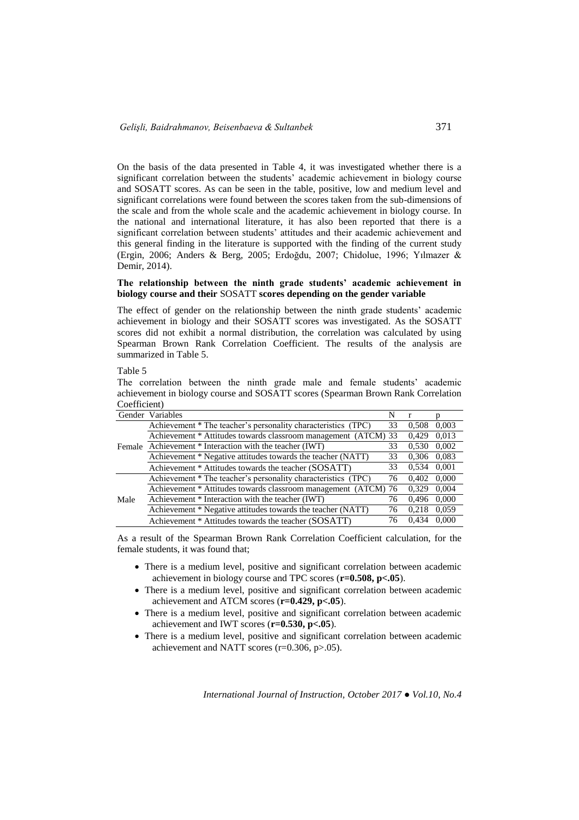On the basis of the data presented in Table 4, it was investigated whether there is a significant correlation between the students' academic achievement in biology course and SOSATT scores. As can be seen in the table, positive, low and medium level and significant correlations were found between the scores taken from the sub-dimensions of the scale and from the whole scale and the academic achievement in biology course. In the national and international literature, it has also been reported that there is a significant correlation between students' attitudes and their academic achievement and this general finding in the literature is supported with the finding of the current study (Ergin, 2006; Anders & Berg, 2005; Erdoğdu, 2007; Chidolue, 1996; Yılmazer & Demir, 2014).

#### **The relationship between the ninth grade students' academic achievement in biology course and their** SOSATT **scores depending on the gender variable**

The effect of gender on the relationship between the ninth grade students' academic achievement in biology and their SOSATT scores was investigated. As the SOSATT scores did not exhibit a normal distribution, the correlation was calculated by using Spearman Brown Rank Correlation Coefficient. The results of the analysis are summarized in Table 5.

Table 5

The correlation between the ninth grade male and female students' academic achievement in biology course and SOSATT scores (Spearman Brown Rank Correlation Coefficient)

|        | Gender Variables                                               | N  |       |       |
|--------|----------------------------------------------------------------|----|-------|-------|
|        | Achievement * The teacher's personality characteristics (TPC)  | 33 | 0.508 | 0.003 |
|        | Achievement * Attitudes towards classroom management (ATCM) 33 |    | 0,429 | 0,013 |
| Female | Achievement * Interaction with the teacher (IWT)               | 33 | 0.530 | 0.002 |
|        | Achievement * Negative attitudes towards the teacher (NATT)    | 33 | 0,306 | 0,083 |
|        | Achievement * Attitudes towards the teacher (SOSATT)           | 33 | 0,534 | 0,001 |
| Male   | Achievement * The teacher's personality characteristics (TPC)  | 76 | 0,402 | 0.000 |
|        | Achievement * Attitudes towards classroom management (ATCM) 76 |    | 0.329 | 0.004 |
|        | Achievement * Interaction with the teacher (IWT)               | 76 | 0,496 | 0,000 |
|        | Achievement * Negative attitudes towards the teacher (NATT)    | 76 | 0.218 | 0,059 |
|        | Achievement * Attitudes towards the teacher (SOSATT)           | 76 | 0,434 | 0.000 |

As a result of the Spearman Brown Rank Correlation Coefficient calculation, for the female students, it was found that;

- There is a medium level, positive and significant correlation between academic achievement in biology course and TPC scores (**r=0.508, p<.05**).
- There is a medium level, positive and significant correlation between academic achievement and ATCM scores (**r=0.429, p<.05**).
- There is a medium level, positive and significant correlation between academic achievement and IWT scores (**r=0.530, p<.05**).
- There is a medium level, positive and significant correlation between academic achievement and NATT scores (r=0.306, p>.05).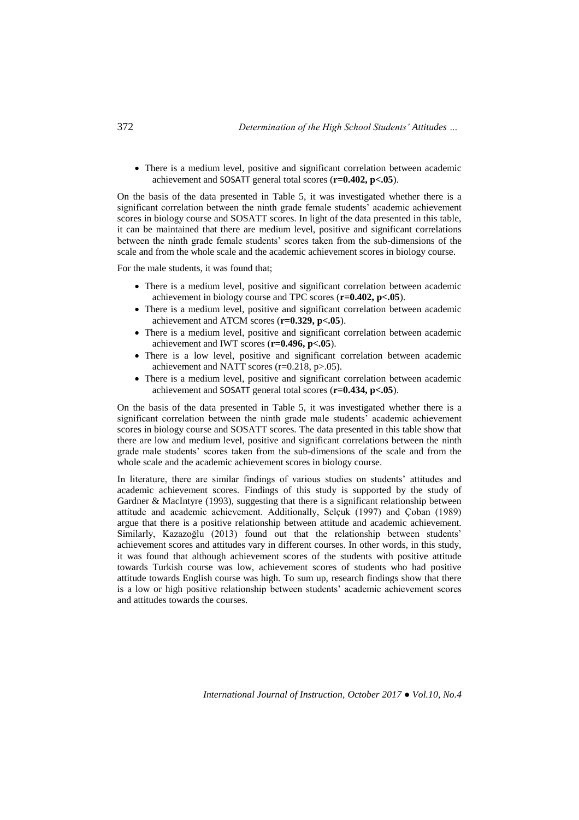There is a medium level, positive and significant correlation between academic achievement and SOSATT general total scores (**r=0.402, p<.05**).

On the basis of the data presented in Table 5, it was investigated whether there is a significant correlation between the ninth grade female students' academic achievement scores in biology course and SOSATT scores. In light of the data presented in this table, it can be maintained that there are medium level, positive and significant correlations between the ninth grade female students' scores taken from the sub-dimensions of the scale and from the whole scale and the academic achievement scores in biology course.

For the male students, it was found that;

- There is a medium level, positive and significant correlation between academic achievement in biology course and TPC scores (**r=0.402, p<.05**).
- There is a medium level, positive and significant correlation between academic achievement and ATCM scores (**r=0.329, p<.05**).
- There is a medium level, positive and significant correlation between academic achievement and IWT scores (**r=0.496, p<.05**).
- There is a low level, positive and significant correlation between academic achievement and NATT scores (r=0.218, p>.05).
- There is a medium level, positive and significant correlation between academic achievement and SOSATT general total scores (**r=0.434, p<.05**).

On the basis of the data presented in Table 5, it was investigated whether there is a significant correlation between the ninth grade male students' academic achievement scores in biology course and SOSATT scores. The data presented in this table show that there are low and medium level, positive and significant correlations between the ninth grade male students' scores taken from the sub-dimensions of the scale and from the whole scale and the academic achievement scores in biology course.

In literature, there are similar findings of various studies on students' attitudes and academic achievement scores. Findings of this study is supported by the study of Gardner & MacIntyre (1993), suggesting that there is a significant relationship between attitude and academic achievement. Additionally, Selçuk (1997) and Çoban (1989) argue that there is a positive relationship between attitude and academic achievement. Similarly, Kazazoğlu (2013) found out that the relationship between students' achievement scores and attitudes vary in different courses. In other words, in this study, it was found that although achievement scores of the students with positive attitude towards Turkish course was low, achievement scores of students who had positive attitude towards English course was high. To sum up, research findings show that there is a low or high positive relationship between students' academic achievement scores and attitudes towards the courses.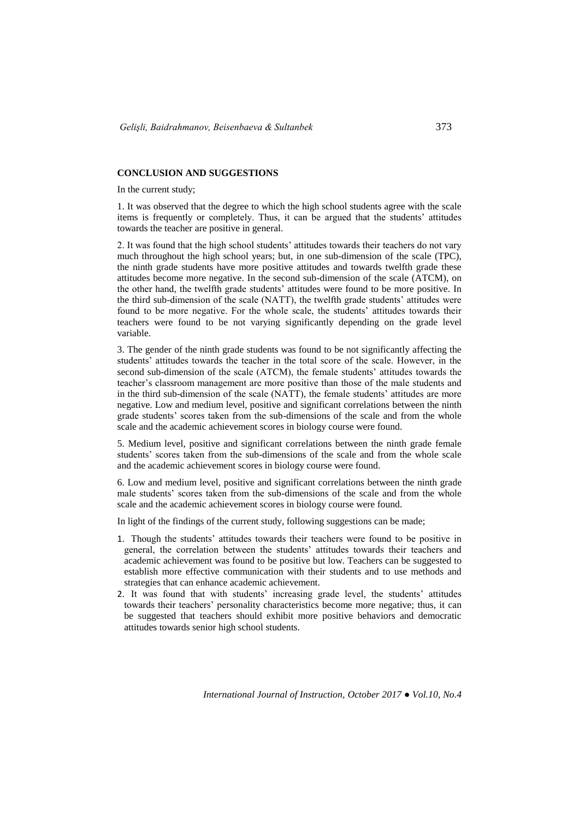#### **CONCLUSION AND SUGGESTIONS**

In the current study;

1. It was observed that the degree to which the high school students agree with the scale items is frequently or completely. Thus, it can be argued that the students' attitudes towards the teacher are positive in general.

2. It was found that the high school students' attitudes towards their teachers do not vary much throughout the high school years; but, in one sub-dimension of the scale (TPC), the ninth grade students have more positive attitudes and towards twelfth grade these attitudes become more negative. In the second sub-dimension of the scale (ATCM), on the other hand, the twelfth grade students' attitudes were found to be more positive. In the third sub-dimension of the scale (NATT), the twelfth grade students' attitudes were found to be more negative. For the whole scale, the students' attitudes towards their teachers were found to be not varying significantly depending on the grade level variable.

3. The gender of the ninth grade students was found to be not significantly affecting the students' attitudes towards the teacher in the total score of the scale. However, in the second sub-dimension of the scale (ATCM), the female students' attitudes towards the teacher's classroom management are more positive than those of the male students and in the third sub-dimension of the scale (NATT), the female students' attitudes are more negative. Low and medium level, positive and significant correlations between the ninth grade students' scores taken from the sub-dimensions of the scale and from the whole scale and the academic achievement scores in biology course were found.

5. Medium level, positive and significant correlations between the ninth grade female students' scores taken from the sub-dimensions of the scale and from the whole scale and the academic achievement scores in biology course were found.

6. Low and medium level, positive and significant correlations between the ninth grade male students' scores taken from the sub-dimensions of the scale and from the whole scale and the academic achievement scores in biology course were found.

In light of the findings of the current study, following suggestions can be made;

- 1. Though the students' attitudes towards their teachers were found to be positive in general, the correlation between the students' attitudes towards their teachers and academic achievement was found to be positive but low. Teachers can be suggested to establish more effective communication with their students and to use methods and strategies that can enhance academic achievement.
- 2. It was found that with students' increasing grade level, the students' attitudes towards their teachers' personality characteristics become more negative; thus, it can be suggested that teachers should exhibit more positive behaviors and democratic attitudes towards senior high school students.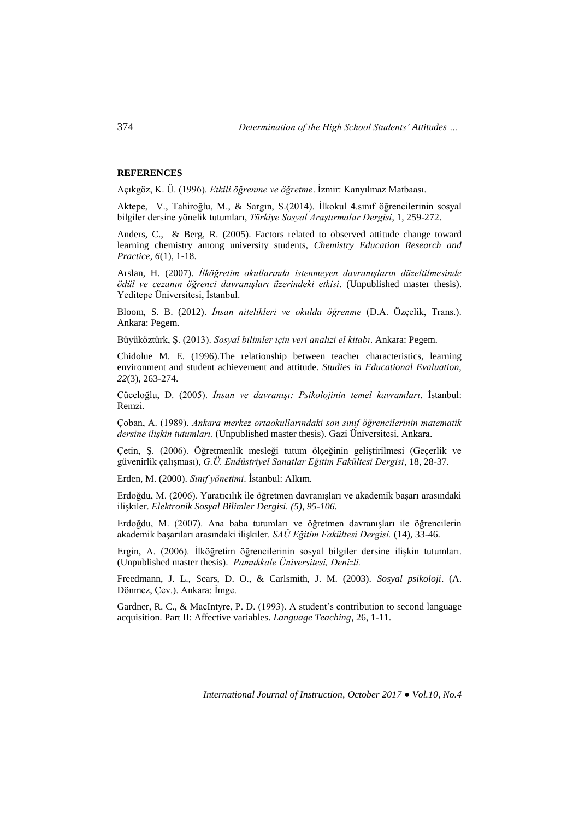#### **REFERENCES**

Açıkgöz, K. Ü. (1996). *Etkili öğrenme ve öğretme*. İzmir: Kanyılmaz Matbaası.

Aktepe, V., Tahiroğlu, M., & Sargın, S.(2014). İlkokul 4.sınıf öğrencilerinin sosyal bilgiler dersine yönelik tutumları, *Türkiye Sosyal Araştırmalar Dergisi*, 1, 259-272.

Anders, C., & Berg, R. (2005). Factors related to observed attitude change toward learning chemistry among university students, *Chemistry Education Research and Practice, 6*(1), 1-18.

Arslan, H. (2007). *İlköğretim okullarında istenmeyen davranışların düzeltilmesinde ödül ve cezanın öğrenci davranışları üzerindeki etkisi*. (Unpublished master thesis). Yeditepe Üniversitesi, İstanbul.

Bloom, S. B. (2012). *İnsan nitelikleri ve okulda öğrenme* (D.A. Özçelik, Trans.). Ankara: Pegem.

Büyüköztürk, Ş. (2013). *Sosyal bilimler için veri analizi el kitabı*. Ankara: Pegem.

Chidolue M. E. (1996).The relationship between teacher characteristics, learning environment and student achievement and attitude*. Studies in Educational Evaluation, 22*(3), 263-274.

Cüceloğlu, D. (2005). *İnsan ve davranışı: Psikolojinin temel kavramları*. İstanbul: Remzi.

Çoban, A. (1989). *Ankara merkez ortaokullarındaki son sınıf öğrencilerinin matematik dersine ilişkin tutumları.* (Unpublished master thesis). Gazi Üniversitesi, Ankara.

Çetin, Ş. (2006). Öğretmenlik mesleği tutum ölçeğinin geliştirilmesi (Geçerlik ve güvenirlik çalışması), *G.Ü. Endüstriyel Sanatlar Eğitim Fakültesi Dergisi*, 18, 28-37.

Erden, M. (2000). *Sınıf yönetimi*. İstanbul: Alkım.

Erdoğdu, M. (2006). Yaratıcılık ile öğretmen davranışları ve akademik başarı arasındaki ilişkiler. *Elektronik Sosyal Bilimler Dergisi. (5), 95-106.*

Erdoğdu, M. (2007). Ana baba tutumları ve öğretmen davranışları ile öğrencilerin akademik başarıları arasındaki ilişkiler. *SAÜ Eğitim Fakültesi Dergisi.* (14), 33-46.

Ergin, A. (2006). İlköğretim öğrencilerinin sosyal bilgiler dersine ilişkin tutumları. (Unpublished master thesis). *Pamukkale Üniversitesi, Denizli.*

Freedmann, J. L., Sears, D. O., & Carlsmith, J. M. (2003). *Sosyal psikoloji*. (A. Dönmez, Çev.). Ankara: İmge.

Gardner, R. C., & MacIntyre, P. D. (1993). A student's contribution to second language acquisition. Part II: Affective variables. *Language Teaching*, 26, 1-11.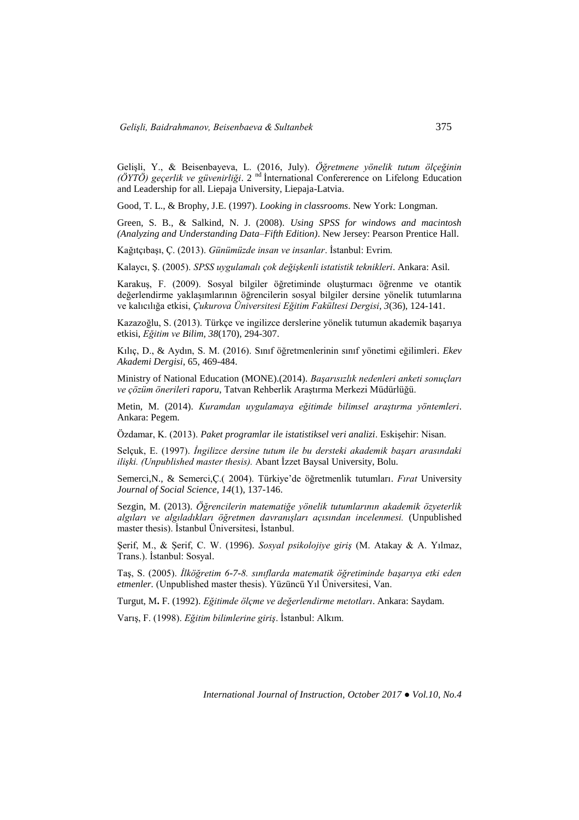Gelişli, Y., & Beisenbayeva, L. (2016, July). *Öğretmene yönelik tutum ölçeğinin (ÖYTÖ) geçerlik ve güvenirliği*. 2 nd İnternational Confererence on Lifelong Education and Leadership for all. Liepaja University, Liepaja-Latvia.

Good, T. L., & Brophy, J.E. (1997). *Looking in classrooms*. New York: Longman.

Green, S. B., & Salkind, N. J. (2008). *Using SPSS for windows and macintosh (Analyzing and Understanding Data–Fifth Edition)*. New Jersey: Pearson Prentice Hall.

Kağıtçıbaşı, Ç. (2013). *Günümüzde insan ve insanlar*. İstanbul: Evrim.

Kalaycı, Ş. (2005). *SPSS uygulamalı çok değişkenli istatistik teknikleri*. Ankara: Asil.

Karakuş, F. (2009). Sosyal bilgiler öğretiminde oluşturmacı öğrenme ve otantik değerlendirme yaklaşımlarının öğrencilerin sosyal bilgiler dersine yönelik tutumlarına ve kalıcılığa etkisi, *Çukurova Üniversitesi Eğitim Fakültesi Dergisi, 3*(36), 124-141.

Kazazoğlu, S. (2013). Türkçe ve ingilizce derslerine yönelik tutumun akademik başarıya etkisi, *Eğitim ve Bilim, 38*(170), 294-307.

Kılıç, D., & Aydın, S. M. (2016). Sınıf öğretmenlerinin sınıf yönetimi eğilimleri. *Ekev Akademi Dergisi*, 65, 469-484.

Ministry of National Education (MONE).(2014). *Başarısızlık nedenleri anketi sonuçları ve çözüm önerileri raporu*, Tatvan Rehberlik Araştırma Merkezi Müdürlüğü.

Metin, M. (2014). *Kuramdan uygulamaya eğitimde bilimsel araştırma yöntemleri*. Ankara: Pegem.

Özdamar, K. (2013). *Paket programlar ile istatistiksel veri analizi*. Eskişehir: Nisan.

Selçuk, E. (1997). *İngilizce dersine tutum ile bu dersteki akademik başarı arasındaki ilişki. (Unpublished master thesis).* Abant İzzet Baysal University, Bolu.

Semerci,N., & Semerci,Ç.( 2004). Türkiye'de öğretmenlik tutumları. *Fırat* University *Journal of Social Science, 14*(1), 137-146.

Sezgin, M. (2013). *Öğrencilerin matematiğe yönelik tutumlarının akademik özyeterlik algıları ve algıladıkları öğretmen davranışları açısından incelenmesi.* (Unpublished master thesis). İstanbul Üniversitesi, İstanbul.

Şerif, M., & Şerif, C. W. (1996). *Sosyal psikolojiye giriş* (M. Atakay & A. Yılmaz, Trans.). İstanbul: Sosyal.

Taş, S. (2005). *İlköğretim 6-7-8. sınıflarda matematik öğretiminde başarıya etki eden etmenler.* (Unpublished master thesis). Yüzüncü Yıl Üniversitesi, Van.

Turgut, M**.** F. (1992). *Eğitimde ölçme ve değerlendirme metotları*. Ankara: Saydam.

Varış, F. (1998). *Eğitim bilimlerine giriş*. İstanbul: Alkım.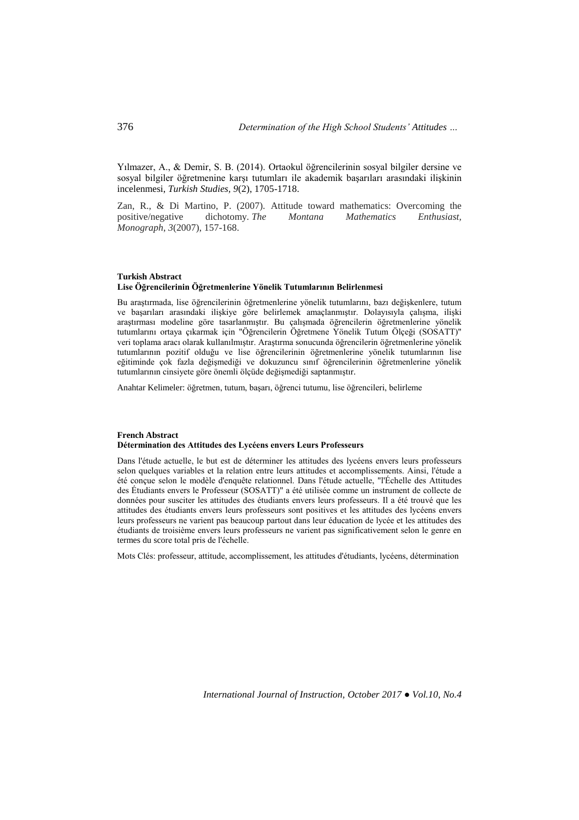Yılmazer, A., & Demir, S. B. (2014). Ortaokul öğrencilerinin sosyal bilgiler dersine ve sosyal bilgiler öğretmenine karşı tutumları ile akademik başarıları arasındaki ilişkinin incelenmesi, *Turkish Studies, 9*(2), 1705-1718.

Zan, R., & Di Martino, P. (2007). Attitude toward mathematics: Overcoming the positive/negative dichotomy. *The Montana Mathematics Enthusiast, Monograph*, *3*(2007), 157-168.

#### **Turkish Abstract Lise Öğrencilerinin Öğretmenlerine Yönelik Tutumlarının Belirlenmesi**

Bu araştırmada, lise öğrencilerinin öğretmenlerine yönelik tutumlarını, bazı değişkenlere, tutum ve başarıları arasındaki ilişkiye göre belirlemek amaçlanmıştır. Dolayısıyla çalışma, ilişki araştırması modeline göre tasarlanmıştır. Bu çalışmada öğrencilerin öğretmenlerine yönelik tutumlarını ortaya çıkarmak için "Öğrencilerin Öğretmene Yönelik Tutum Ölçeği (SOSATT)" veri toplama aracı olarak kullanılmıştır. Araştırma sonucunda öğrencilerin öğretmenlerine yönelik tutumlarının pozitif olduğu ve lise öğrencilerinin öğretmenlerine yönelik tutumlarının lise eğitiminde çok fazla değişmediği ve dokuzuncu sınıf öğrencilerinin öğretmenlerine yönelik tutumlarının cinsiyete göre önemli ölçüde değişmediği saptanmıştır.

Anahtar Kelimeler: öğretmen, tutum, başarı, öğrenci tutumu, lise öğrencileri, belirleme

#### **French Abstract Détermination des Attitudes des Lycéens envers Leurs Professeurs**

Dans l'étude actuelle, le but est de déterminer les attitudes des lycéens envers leurs professeurs selon quelques variables et la relation entre leurs attitudes et accomplissements. Ainsi, l'étude a été conçue selon le modèle d'enquête relationnel. Dans l'étude actuelle, "l'Échelle des Attitudes des Étudiants envers le Professeur (SOSATT)" a été utilisée comme un instrument de collecte de données pour susciter les attitudes des étudiants envers leurs professeurs. Il a été trouvé que les attitudes des étudiants envers leurs professeurs sont positives et les attitudes des lycéens envers leurs professeurs ne varient pas beaucoup partout dans leur éducation de lycée et les attitudes des étudiants de troisième envers leurs professeurs ne varient pas significativement selon le genre en termes du score total pris de l'échelle.

Mots Clés: professeur, attitude, accomplissement, les attitudes d'étudiants, lycéens, détermination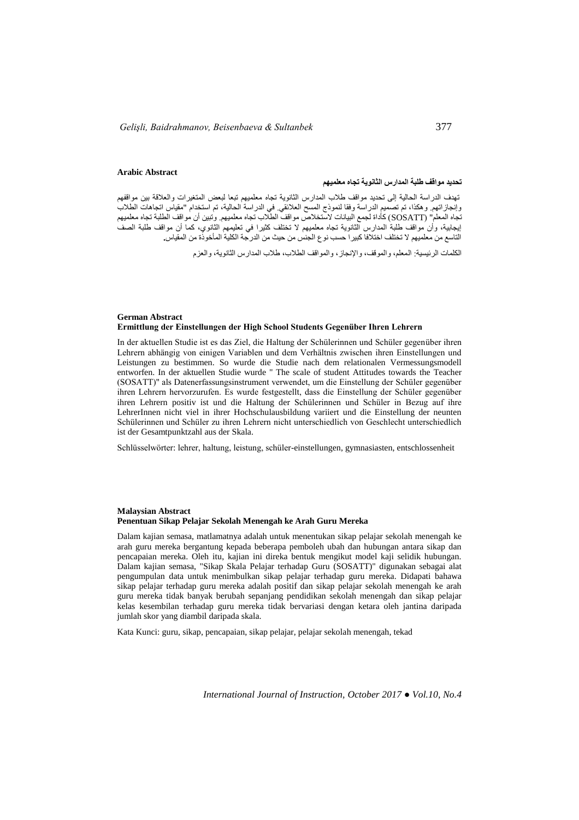#### **Arabic Abstract**

#### **تحديد مواقف طلبة المدارس الثانوية تجاه معلميهم**

تهدف الدراسة الحالية إلى تحديد مواقف طالب المدارس الثانوية تجاه معلميهم تبعا لبعض المتغيرات والعالقة بين مواقفهم وإنجازاتهم. وهكذا، تم تصميم الدراسة وفقا لنموذج المسح العالئقي. في الدراسة الحالية، تم استخدام "مقياس اتجاهات الطالب تجاه المعلم" (SOSATT) كاداة لجمع البيانات لاستخلاص مواقف الطلاب تجاه معلميهم. وتبين أن مواقف الطلبة تجاه معلميهم إيجابية، وأن مواقف طلبة المدارس الثانوية تجاه معلميهم ال تختلف كثيرا في تعليمهم الثانوي، كما أن مواقف طلبة الصف التاسع من معلميهم ال تختلف اختالفا كبيرا حسب نوع الجنس من حيث من الدرجة الكلية المأخوذة من المقياس**.**

الكلمات الرئيسية: المعلم، والموقف، واإلنجاز، والمواقف الطالب، طالب المدارس الثانوية، والعزم

#### **German Abstract Ermittlung der Einstellungen der High School Students Gegenüber Ihren Lehrern**

In der aktuellen Studie ist es das Ziel, die Haltung der Schülerinnen und Schüler gegenüber ihren Lehrern abhängig von einigen Variablen und dem Verhältnis zwischen ihren Einstellungen und Leistungen zu bestimmen. So wurde die Studie nach dem relationalen Vermessungsmodell entworfen. In der aktuellen Studie wurde " The scale of student Attitudes towards the Teacher (SOSATT)" als Datenerfassungsinstrument verwendet, um die Einstellung der Schüler gegenüber ihren Lehrern hervorzurufen. Es wurde festgestellt, dass die Einstellung der Schüler gegenüber ihren Lehrern positiv ist und die Haltung der Schülerinnen und Schüler in Bezug auf ihre LehrerInnen nicht viel in ihrer Hochschulausbildung variiert und die Einstellung der neunten Schülerinnen und Schüler zu ihren Lehrern nicht unterschiedlich von Geschlecht unterschiedlich ist der Gesamtpunktzahl aus der Skala.

Schlüsselwörter: lehrer, haltung, leistung, schüler-einstellungen, gymnasiasten, entschlossenheit

#### **Malaysian Abstract Penentuan Sikap Pelajar Sekolah Menengah ke Arah Guru Mereka**

Dalam kajian semasa, matlamatnya adalah untuk menentukan sikap pelajar sekolah menengah ke arah guru mereka bergantung kepada beberapa pemboleh ubah dan hubungan antara sikap dan pencapaian mereka. Oleh itu, kajian ini direka bentuk mengikut model kaji selidik hubungan. Dalam kajian semasa, "Sikap Skala Pelajar terhadap Guru (SOSATT)" digunakan sebagai alat pengumpulan data untuk menimbulkan sikap pelajar terhadap guru mereka. Didapati bahawa sikap pelajar terhadap guru mereka adalah positif dan sikap pelajar sekolah menengah ke arah guru mereka tidak banyak berubah sepanjang pendidikan sekolah menengah dan sikap pelajar kelas kesembilan terhadap guru mereka tidak bervariasi dengan ketara oleh jantina daripada jumlah skor yang diambil daripada skala.

Kata Kunci: guru, sikap, pencapaian, sikap pelajar, pelajar sekolah menengah, tekad